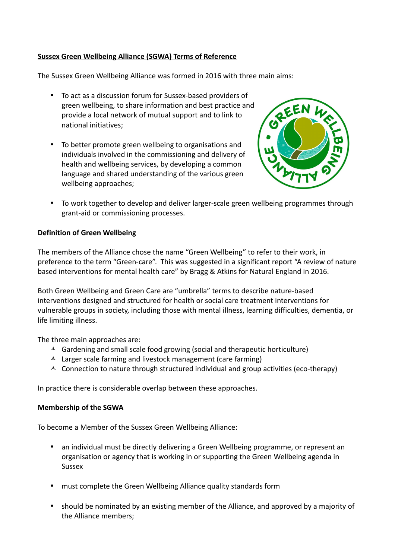## **Sussex Green Wellbeing Alliance (SGWA) Terms of Reference**

The Sussex Green Wellbeing Alliance was formed in 2016 with three main aims:

- To act as a discussion forum for Sussex-based providers of green wellbeing, to share information and best practice and provide a local network of mutual support and to link to national initiatives;
- To better promote green wellbeing to organisations and individuals involved in the commissioning and delivery of health and wellbeing services, by developing a common language and shared understanding of the various green wellbeing approaches;



• To work together to develop and deliver larger-scale green wellbeing programmes through grant-aid or commissioning processes.

## **Definition of Green Wellbeing**

The members of the Alliance chose the name "Green Wellbeing" to refer to their work, in preference to the term "Green-care". This was suggested in a significant report "A review of nature based interventions for mental health care" by Bragg & Atkins for Natural England in 2016.

Both Green Wellbeing and Green Care are "umbrella" terms to describe nature-based interventions designed and structured for health or social care treatment interventions for vulnerable groups in society, including those with mental illness, learning difficulties, dementia, or life limiting illness.

The three main approaches are:

- $\triangle$  Gardening and small scale food growing (social and therapeutic horticulture)
- $\lambda$  Larger scale farming and livestock management (care farming)
- $\triangle$  Connection to nature through structured individual and group activities (eco-therapy)

In practice there is considerable overlap between these approaches.

## **Membership of the SGWA**

To become a Member of the Sussex Green Wellbeing Alliance:

- an individual must be directly delivering a Green Wellbeing programme, or represent an organisation or agency that is working in or supporting the Green Wellbeing agenda in Sussex
- must complete the Green Wellbeing Alliance quality standards form
- should be nominated by an existing member of the Alliance, and approved by a majority of the Alliance members;